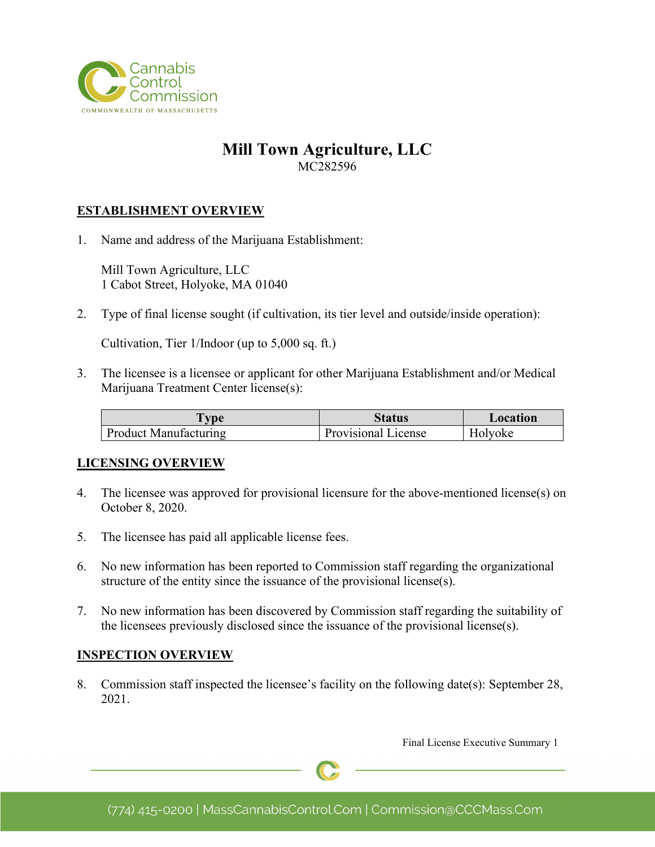

# **Mill Town Agriculture, LLC** MC282596

### **ESTABLISHMENT OVERVIEW**

1. Name and address of the Marijuana Establishment:

Mill Town Agriculture, LLC 1 Cabot Street, Holyoke, MA 01040

2. Type of final license sought (if cultivation, its tier level and outside/inside operation):

Cultivation, Tier 1/Indoor (up to 5,000 sq. ft.)

3. The licensee is a licensee or applicant for other Marijuana Establishment and/or Medical Marijuana Treatment Center license(s):

| <b>vne</b>            | Status              | Location |
|-----------------------|---------------------|----------|
| Product Manufacturing | Provisional License | Holyoke  |

#### **LICENSING OVERVIEW**

- 4. The licensee was approved for provisional licensure for the above-mentioned license(s) on October 8, 2020.
- 5. The licensee has paid all applicable license fees.
- 6. No new information has been reported to Commission staff regarding the organizational structure of the entity since the issuance of the provisional license(s).
- 7. No new information has been discovered by Commission staff regarding the suitability of the licensees previously disclosed since the issuance of the provisional license(s).

#### **INSPECTION OVERVIEW**

8. Commission staff inspected the licensee's facility on the following date(s): September 28, 2021.

Final License Executive Summary 1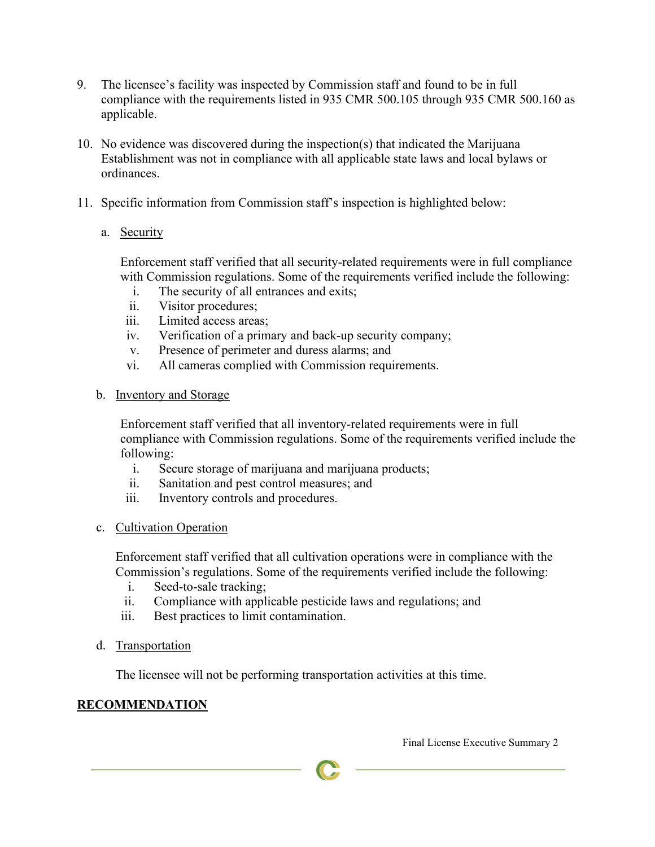- 9. The licensee's facility was inspected by Commission staff and found to be in full compliance with the requirements listed in 935 CMR 500.105 through 935 CMR 500.160 as applicable.
- 10. No evidence was discovered during the inspection(s) that indicated the Marijuana Establishment was not in compliance with all applicable state laws and local bylaws or ordinances.
- 11. Specific information from Commission staff's inspection is highlighted below:
	- a. Security

Enforcement staff verified that all security-related requirements were in full compliance with Commission regulations. Some of the requirements verified include the following:

- i. The security of all entrances and exits;
- ii. Visitor procedures;
- iii. Limited access areas;
- iv. Verification of a primary and back-up security company;
- v. Presence of perimeter and duress alarms; and
- vi. All cameras complied with Commission requirements.
- b. Inventory and Storage

Enforcement staff verified that all inventory-related requirements were in full compliance with Commission regulations. Some of the requirements verified include the following:

- i. Secure storage of marijuana and marijuana products;
- ii. Sanitation and pest control measures; and
- iii. Inventory controls and procedures.
- c. Cultivation Operation

Enforcement staff verified that all cultivation operations were in compliance with the Commission's regulations. Some of the requirements verified include the following:

- i. Seed-to-sale tracking;
- ii. Compliance with applicable pesticide laws and regulations; and
- iii. Best practices to limit contamination.
- d. Transportation

The licensee will not be performing transportation activities at this time.

## **RECOMMENDATION**

Final License Executive Summary 2